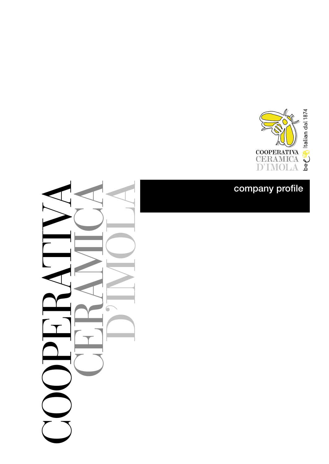

### company profile

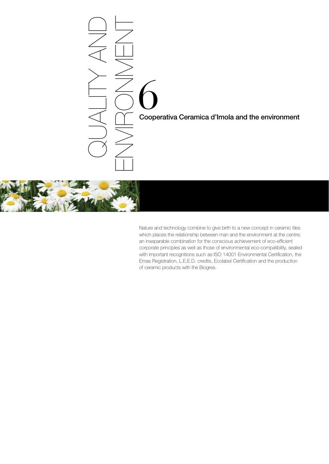# Cooperativa Ceramica d'Imola and the environment QUALITY AND ENVIRONMENT



Nature and technology combine to give birth to a new concept in ceramic tiles which places the relationship between man and the environment at the centre; an inseparable combination for the conscious achievement of eco-efficient corporate principles as well as those of environmental eco-compatibility, sealed with important recognitions such as ISO 14001 Environmental Certification, the Emas Registration, L.E.E.D. credits, Ecolabel Certification and the production of ceramic products with the Biogres.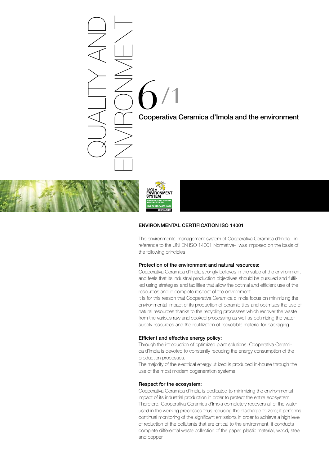### 6 Cooperativa Ceramica d'Imola and the environment /1 QUALITY AND ENVIRONMENT





### ENVIRONMENTAL CERTIFICATION ISO 14001

The environmental management system of Cooperativa Ceramica d'Imola - in reference to the UNI EN ISO 14001 Normative- was imposed on the basis of the following principles:

### Protection of the environment and natural resources:

Cooperativa Ceramica d'Imola strongly believes in the value of the environment and feels that its industrial production objectives should be pursued and fulfilled using strategies and facilities that allow the optimal and efficient use of the resources and in complete respect of the environment.

It is for this reason that Cooperativa Ceramica d'Imola focus on minimizing the environmental impact of its production of ceramic tiles and optimizes the use of natural resources thanks to the recycling processes which recover the waste from the various raw and cooked processing as well as optimizing the water supply resources and the reutilization of recyclable material for packaging.

### Efficient and effective energy policy:

Through the introduction of optimized plant solutions, Cooperativa Ceramica d'Imola is devoted to constantly reducing the energy consumption of the production processes.

The majority of the electrical energy utilized is produced in-house through the use of the most modern cogeneration systems.

### Respect for the ecosystem:

Cooperativa Ceramica d'Imola is dedicated to minimizing the environmental impact of its industrial production in order to protect the entire ecosystem. Therefore, Cooperativa Ceramica d'Imola completely recovers all of the water used in the working processes thus reducing the discharge to zero; it performs continual monitoring of the significant emissions in order to achieve a high level of reduction of the pollutants that are critical to the environment, it conducts complete differential waste collection of the paper, plastic material, wood, steel and copper.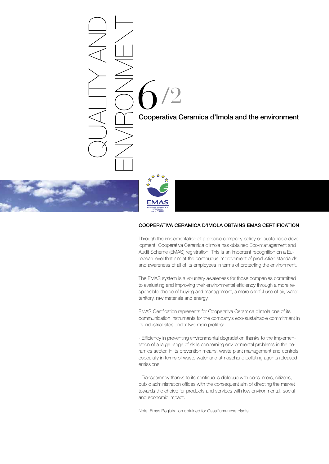## 6 Cooperativa Ceramica d'Imola and the environment /2 QUALITY AND ENVIRONMENT



### COOPERATIVA CERAMICA D'IMOLA OBTAINS EMAS CERTIFICATION

Through the implementation of a precise company policy on sustainable development, Cooperativa Ceramica d'Imola has obtained Eco-management and Audit Scheme (EMAS) registration. This is an important recognition on a European level that aim at the continuous improvement of production standards and awareness of all of its employees in terms of protecting the environment.

The EMAS system is a voluntary awareness for those companies committed to evaluating and improving their environmental efficiency through a more responsible choice of buying and management, a more careful use of air, water, territory, raw materials and energy.

EMAS Certification represents for Cooperativa Ceramica d'Imola one of its communication instruments for the company's eco-sustainable commitment in its industrial sites under two main profiles:

- Efficiency in preventing environmental degradation thanks to the implementation of a large range of skills concerning environmental problems in the ceramics sector, in its prevention means, waste plant management and controls especially in terms of waste water and atmospheric polluting agents released emissions;

- Transparency thanks to its continuous dialogue with consumers, citizens, public administration offices with the consequent aim of directing the market towards the choice for products and services with low environmental, social and economic impact.

Note: Emas Registration obtained for Casalfiumanese plants.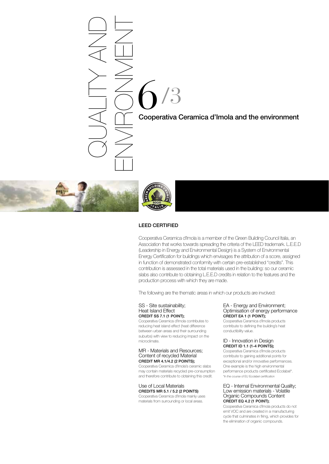### 6 Cooperativa Ceramica d'Imola and the environment /3 QUALITY AND ENVIRONMENT



### LEED CERTIFIED

Cooperativa Ceramica d'Imola is a member of the Green Building Council Italia, an Association that works towards spreading the criteria of the LEED trademark. L.E.E.D (Leadership in Energy and Environmental Design) is a System of Environmental Energy Certification for buildings which envisages the attribution of a score, assigned in function of demonstrated conformity with certain pre-established "credits". This contribution is assessed in the total materials used in the building: so our ceramic slabs also contribute to obtaining L.E.E.D credits in relation to the features and the production process with which they are made.

The following are the thematic areas in which our products are involved:

### SS - Site sustainability; Heat Island Effect CREDIT SS 7.1 (1 POINT);

Cooperativa Ceramica d'Imola contributes to reducing heat island effect (heat difference between urban areas and their surrounding suburbs) with view to reducing impact on the microclimate.

### MR - Materials and Resources; Content of recycled Material CREDIT MR 4.1/4.2 (2 POINTS);

Cooperativa Ceramica d'Imola's ceramic slabs may contain materials recycled pre-consumption and therefore contribute to obtaining this credit.

### Use of Local Materials CREDITS MR 5.1 / 5.2 (2 POINTS)

Cooperativa Ceramica d'Imola mainly uses materials from surrounding or local areas.

### EA - Energy and Environment; Optimisation of energy performance CREDIT EA 1 (1 POINT);

Cooperativa Ceramica d'Imola products contribute to defining the building's heat conductibility value.

### ID - Innovation in Design CREDIT ID 1.1 (1-4 POINTS);

Cooperativa Ceramica d'Imola products contribute to gaining additional points for exceptional and/or innovative performances. One example is the high environmental performance products certificated Ecolabel\*. \*In the course of EU Ecolabel certification

### EQ - Internal Environmental Quality; Low emission materials - Volatile Organic Compounds Content CREDIT EQ 4.2 (1 POINT);

Cooperativa Ceramica d'Imola products do not emit VOC and are created in a manufacturing cycle that culminates in firing, which provides for the elimination of organic compounds.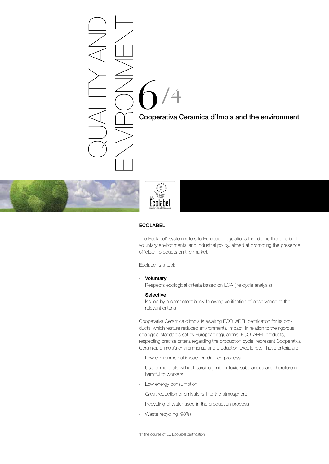### 6 Cooperativa Ceramica d'Imola and the environment /4 QUALITY AND ENVIRONMENT



### Ecolabel

### ECOLABEL

The Ecolabel\* system refers to European regulations that define the criteria of voluntary environmental and industrial policy, aimed at promoting the presence of 'clean' products on the market.

Ecolabel is a tool:

- Voluntary

Respects ecological criteria based on LCA (life cycle analysis)

- Selective

Issued by a competent body following verification of observance of the relevant criteria

Cooperativa Ceramica d'Imola is awaiting ECOLABEL certification for its products, which feature reduced environmental impact, in relation to the rigorous ecological standards set by European regulations. ECOLABEL products, respecting precise criteria regarding the production cycle, represent Cooperativa Ceramica d'Imola's environmental and production excellence. These criteria are:

- Low environmental impact production process
- Use of materials without carcinogenic or toxic substances and therefore not harmful to workers
- Low energy consumption
- Great reduction of emissions into the atmosphere
- Recycling of water used in the production process
- Waste recycling (98%)

\*In the course of EU Ecolabel certification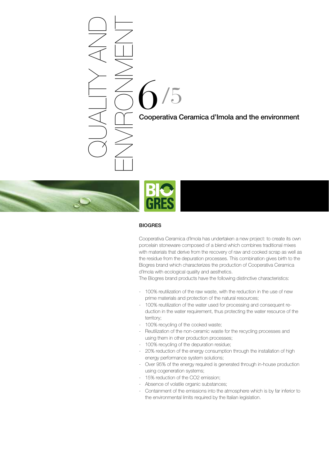# 6 Cooperativa Ceramica d'Imola and the environment /5 ENVIRONMENT



QUALITY AND

### **BIOGRES**

Cooperativa Ceramica d'Imola has undertaken a new project: to create its own porcelain stoneware composed of a blend which combines traditional mixes with materials that derive from the recovery of raw and cooked scrap as well as the residue from the depuration processes. This combination gives birth to the Biogres brand which characterizes the production of Cooperativa Ceramica d'Imola with ecological quality and aesthetics.

The Biogres brand products have the following distinctive characteristics:

- 100% reutilization of the raw waste, with the reduction in the use of new prime materials and protection of the natural resources;
- 100% reutilization of the water used for processing and consequent reduction in the water requirement, thus protecting the water resource of the territory;
- 100% recycling of the cooked waste;
- Reutilization of the non-ceramic waste for the recycling processes and using them in other production processes;
- 100% recycling of the depuration residue;
- 20% reduction of the energy consumption through the installation of high energy performance system solutions;
- Over 95% of the energy required is generated through in-house production using cogeneration systems;
- 15% reduction of the CO2 emission;
- Absence of volatile organic substances;
- Containment of the emissions into the atmosphere which is by far inferior to the environmental limits required by the Italian legislation.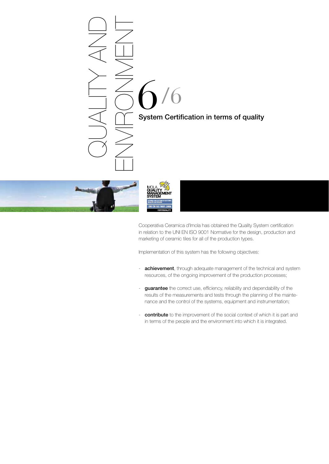





Cooperativa Ceramica d'Imola has obtained the Quality System certification in relation to the UNI EN ISO 9001 Normative for the design, production and marketing of ceramic tiles for all of the production types.

Implementation of this system has the following objectives:

- **achievement**, through adequate management of the technical and system resources, of the ongoing improvement of the production processes;
- guarantee the correct use, efficiency, reliability and dependability of the results of the measurements and tests through the planning of the maintenance and the control of the systems, equipment and instrumentation;
- **contribute** to the improvement of the social context of which it is part and in terms of the people and the environment into which it is integrated.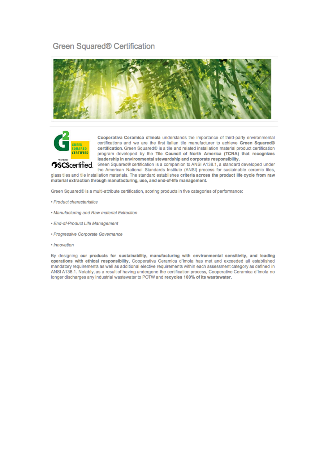### Green Squared® Certification





Cooperativa Ceramica d'Imola understands the importance of third-party environmental certifications and we are the first Italian tile manufacturer to achieve Green Squared® certification. Green Squared® is a tile and related installation material product certification program developed by the Tile Council of North America (TCNA) that recognizes leadership in environmental stewardship and corporate responsibility.

**OSCScertified.** Green Squared® certification is a companion to ANSI A138.1, a standard developed under the American National Standards Institute (ANSI) process for sustainable ceramic tiles, glass tiles and tile installation materials. The standard establishes criteria across the product life cycle from raw material extraction through manufacturing, use, and end-of-life management.

Green Squared® is a multi-attribute certification, scoring products in five categories of performance:

- · Product characteristics
- Manufacturing and Raw material Extraction
- · End-of-Product Life Management
- Progressive Corporate Governance
- · Innovation

By designing our products for sustainability, manufacturing with environmental sensitivity, and leading operations with ethical responsibility, Cooperativa Ceramica d'Imola has met and exceeded all established mandatory requirements as well as additional elective requirements within each assessment category as defined in ANSI A138.1. Notably, as a result of having undergone the certification process, Cooperative Ceramica d'Imola no longer discharges any industrial wastewater to POTW and recycles 100% of its wastewater.